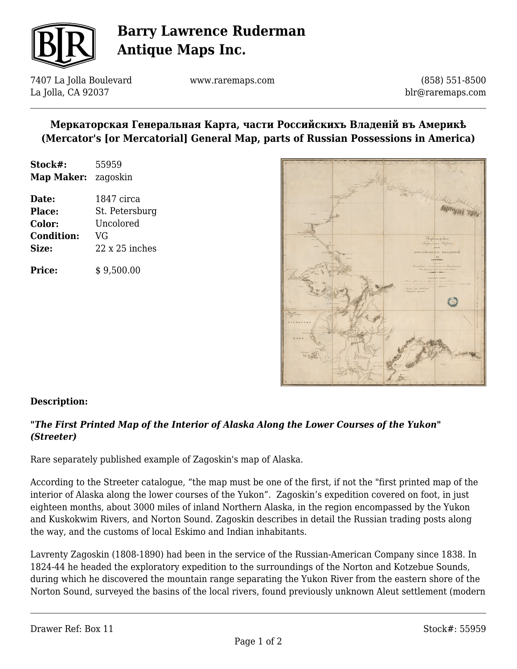

# **Barry Lawrence Ruderman Antique Maps Inc.**

7407 La Jolla Boulevard La Jolla, CA 92037

www.raremaps.com

(858) 551-8500 blr@raremaps.com

## **Меркаторская Генеральная Карта, части Российскихъ Владеній въ Америкѣ (Mercator's [or Mercatorial] General Map, parts of Russian Possessions in America)**

| Stock#:    | 55959    |
|------------|----------|
| Map Maker: | zagoskin |

**Date:** 1847 circa **Place:** St. Petersburg **Color:** Uncolored **Condition:** VG **Size:** 22 x 25 inches

**Price:**  $\qquad$  \$ 9.500.00



## **Description:**

## *"The First Printed Map of the Interior of Alaska Along the Lower Courses of the Yukon" (Streeter)*

Rare separately published example of Zagoskin's map of Alaska.

According to the Streeter catalogue, "the map must be one of the first, if not the "first printed map of the interior of Alaska along the lower courses of the Yukon". Zagoskin's expedition covered on foot, in just eighteen months, about 3000 miles of inland Northern Alaska, in the region encompassed by the Yukon and Kuskokwim Rivers, and Norton Sound. Zagoskin describes in detail the Russian trading posts along the way, and the customs of local Eskimo and Indian inhabitants.

Lavrenty Zagoskin (1808-1890) had been in the service of the Russian-American Company since 1838. In 1824-44 he headed the exploratory expedition to the surroundings of the Norton and Kotzebue Sounds, during which he discovered the mountain range separating the Yukon River from the eastern shore of the Norton Sound, surveyed the basins of the local rivers, found previously unknown Aleut settlement (modern